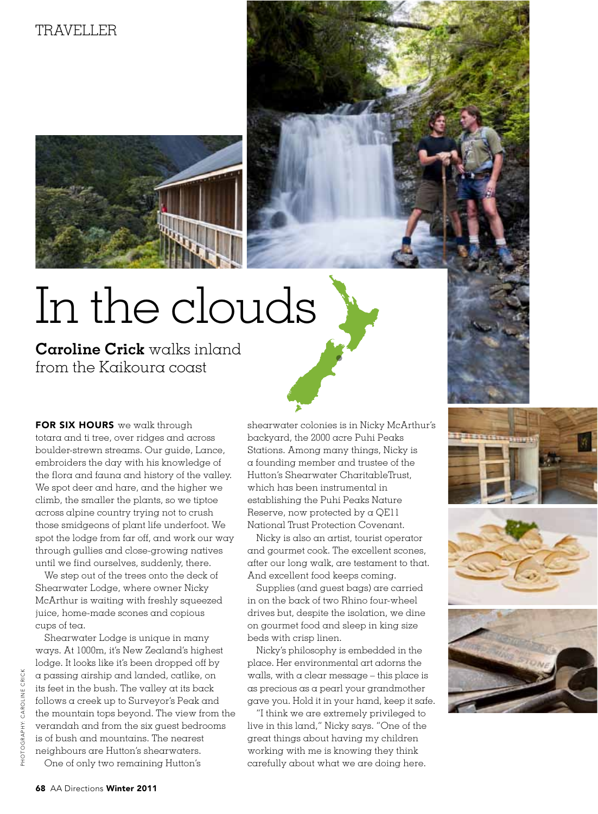## TRAVELLER



## In the clouds

**Caroline Crick** walks inland from the Kaikoura coast

FOR SIX HOURS we walk through totara and ti tree, over ridges and across boulder-strewn streams. Our guide, Lance, embroiders the day with his knowledge of the flora and fauna and history of the valley. We spot deer and hare, and the higher we climb, the smaller the plants, so we tiptoe across alpine country trying not to crush those smidgeons of plant life underfoot. We spot the lodge from far off, and work our way through gullies and close-growing natives until we find ourselves, suddenly, there.

We step out of the trees onto the deck of Shearwater Lodge, where owner Nicky McArthur is waiting with freshly squeezed juice, home-made scones and copious cups of tea.

Shearwater Lodge is unique in many ways. At 1000m, it's New Zealand's highest lodge. It looks like it's been dropped off by a passing airship and landed, catlike, on its feet in the bush. The valley at its back follows a creek up to Surveyor's Peak and the mountain tops beyond. The view from the verandah and from the six guest bedrooms is of bush and mountains. The nearest neighbours are Hutton's shearwaters. One of only two remaining Hutton's

shearwater colonies is in Nicky McArthur's backyard, the 2000 acre Puhi Peaks Stations. Among many things, Nicky is a founding member and trustee of the Hutton's Shearwater CharitableTrust, which has been instrumental in establishing the Puhi Peaks Nature Reserve, now protected by a QE11 National Trust Protection Covenant.

Nicky is also an artist, tourist operator and gourmet cook. The excellent scones, after our long walk, are testament to that. And excellent food keeps coming.

Supplies (and guest bags) are carried in on the back of two Rhino four-wheel drives but, despite the isolation, we dine on gourmet food and sleep in king size beds with crisp linen.

Nicky's philosophy is embedded in the place. Her environmental art adorns the walls, with a clear message – this place is as precious as a pearl your grandmother gave you. Hold it in your hand, keep it safe.

"I think we are extremely privileged to live in this land," Nicky says. "One of the great things about having my children working with me is knowing they think carefully about what we are doing here.